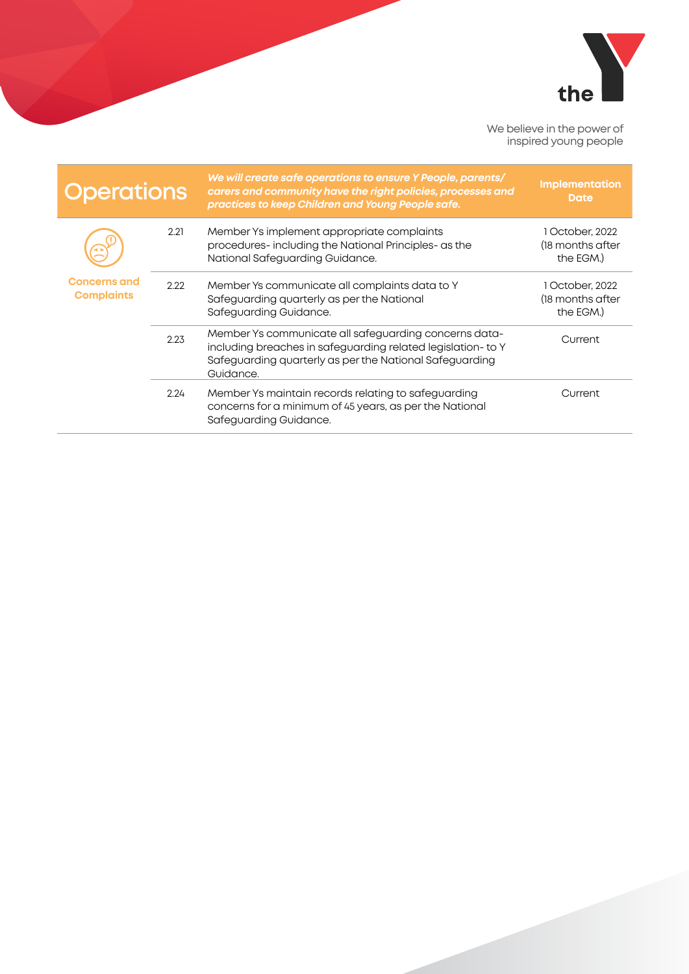

| <b>Operations</b>                        |      | We will create safe operations to ensure Y People, parents/<br>carers and community have the right policies, processes and<br>practices to keep Children and Young People safe.              | <b>Implementation</b><br>Date                    |
|------------------------------------------|------|----------------------------------------------------------------------------------------------------------------------------------------------------------------------------------------------|--------------------------------------------------|
| <b>Concerns and</b><br><b>Complaints</b> | 2.21 | Member Ys implement appropriate complaints<br>procedures-including the National Principles-as<br>the National Safeguarding Guidance.                                                         | 1 October, 2022<br>(18 months after<br>the EGM.) |
|                                          | 2.22 | Member Ys communicate all complaints data to Y<br>Safeguarding quarterly as per the National<br>Safeguarding Guidance.                                                                       | 1 October, 2022<br>(18 months after<br>the EGM.) |
|                                          | 2.23 | Member Ys communicate all safeguarding concerns data-<br>including breaches in safeguarding related legislation-to Y<br>Safeguarding quarterly as per the National Safeguarding<br>Guidance. | Current                                          |
|                                          | 2.24 | Member Ys maintain records relating to safeguarding<br>concerns for a minimum of 45 years, as per the National<br>Safeguarding Guidance.                                                     | Current                                          |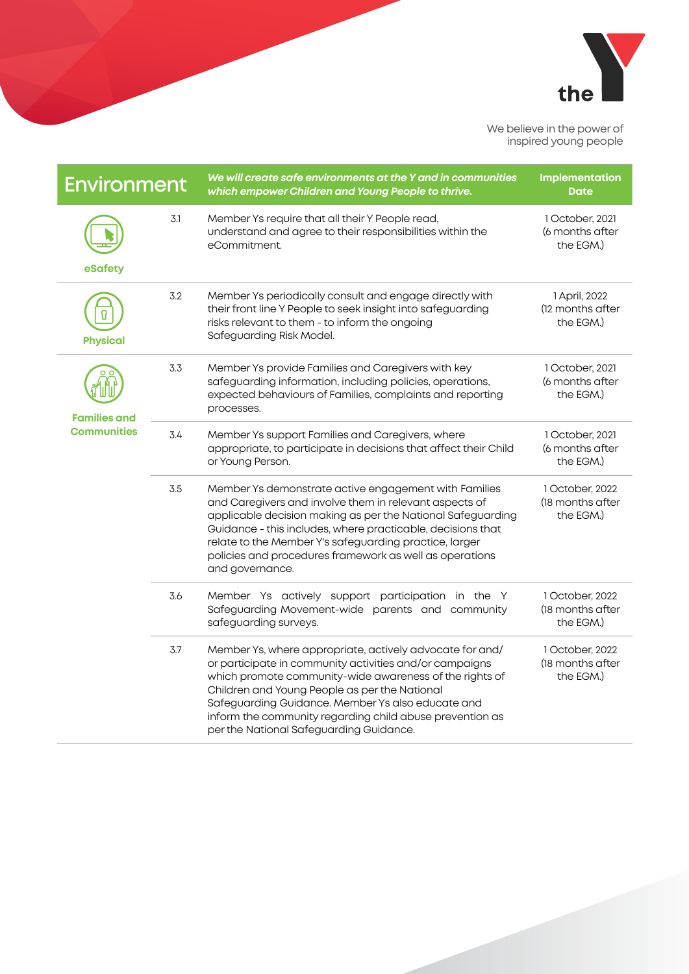

| <b>Environment</b>                        |     | We will create safe environments at the Y and in communities<br>which empower Children and Young People to thrive.                                                                                                                                                                                                                                                                          | <b>Implementation</b><br><b>Date</b>             |
|-------------------------------------------|-----|---------------------------------------------------------------------------------------------------------------------------------------------------------------------------------------------------------------------------------------------------------------------------------------------------------------------------------------------------------------------------------------------|--------------------------------------------------|
| eSafety                                   | 3.1 | Member Ys require that all their Y People read,<br>understand and agree to their responsibilities within the<br>eCommitment.                                                                                                                                                                                                                                                                | 1 October, 2021<br>(6 months after<br>the EGM.)  |
| <b>Physical</b>                           | 3.2 | Member Ys periodically consult and engage directly with<br>their front line Y People to seek insight into safeguarding<br>risks relevant to them - to inform the ongoing<br>Safeguarding Risk Model.                                                                                                                                                                                        | 1 April, 2022<br>(12 months after<br>the EGM.)   |
| <b>Families and</b><br><b>Communities</b> | 3.3 | Member Ys provide Families and Caregivers with key<br>safeguarding information, including policies, operations,<br>expected behaviours of Families, complaints and reporting<br>processes.                                                                                                                                                                                                  | 1 October, 2021<br>(6 months after<br>the EGM.)  |
|                                           | 3.4 | Member Ys support Families and Caregivers, where<br>appropriate, to participate in decisions that affect their Child<br>or Young Person.                                                                                                                                                                                                                                                    | 1 October, 2021<br>(6 months after<br>the EGM.)  |
|                                           | 3.5 | Member Ys demonstrate active engagement with Families<br>and Caregivers and involve them in relevant aspects of<br>applicable decision making as per the National Safeguarding<br>Guidance - this includes, where practicable, decisions that<br>relate to the Member Y's safeguarding practice, larger<br>policies and procedures framework as well as operations<br>and governance.       | 1 October, 2022<br>(18 months after<br>the EGM.) |
|                                           | 3.6 | Member Ys actively support participation in the Y<br>Safeguarding Movement-wide parents and community<br>safeguarding surveys.                                                                                                                                                                                                                                                              | 1 October, 2022<br>(18 months after<br>the EGM.) |
|                                           | 3.7 | Member Ys, where appropriate, actively advocate for and/<br>or participate in community activities and/or campaigns<br>which promote community-wide awareness of the rights of<br>Children and Young People as per the National<br>Safeguarding Guidance. Member Ys also educate and<br>inform the community regarding child abuse prevention as<br>per the National Safeguarding Guidance. | 1 October, 2022<br>(18 months after<br>the EGM.) |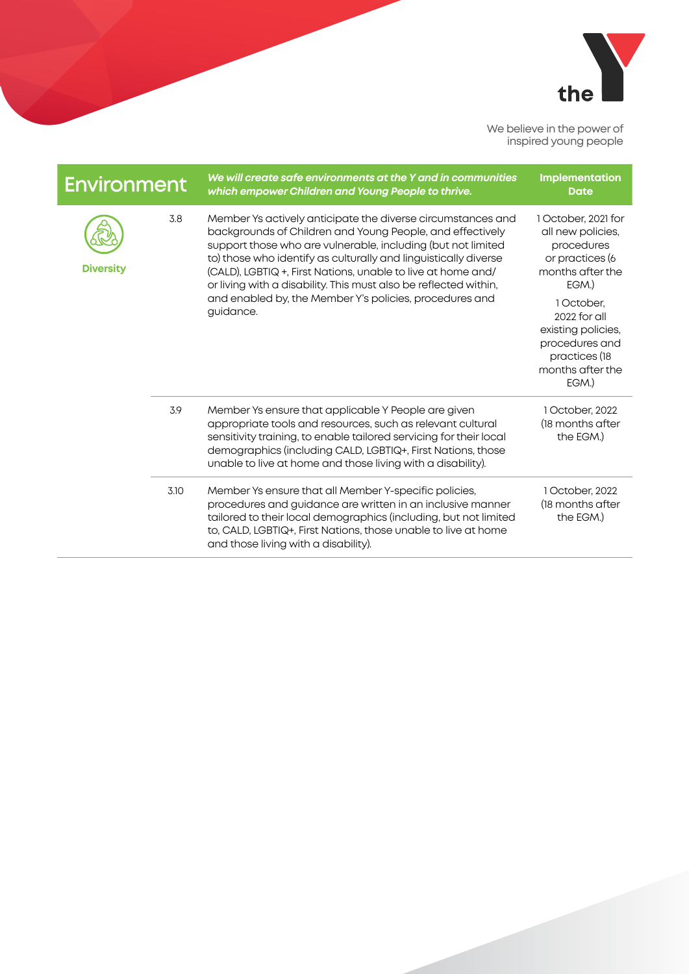

| <b>Environment</b> |      | We will create safe environments at the Y and in communities<br>which empower Children and Young People to thrive.                                                                                                                                                                                                                                                                                                                                                      | <b>Implementation</b><br><b>Date</b>                                                                             |
|--------------------|------|-------------------------------------------------------------------------------------------------------------------------------------------------------------------------------------------------------------------------------------------------------------------------------------------------------------------------------------------------------------------------------------------------------------------------------------------------------------------------|------------------------------------------------------------------------------------------------------------------|
| <b>Diversity</b>   | 3.8  | Member Ys actively anticipate the diverse circumstances and<br>backgrounds of Children and Young People, and effectively<br>support those who are vulnerable, including (but not limited<br>to) those who identify as culturally and linguistically diverse<br>(CALD), LGBTIQ +, First Nations, unable to live at home and/<br>or living with a disability. This must also be reflected within,<br>and enabled by, the Member Y's policies, procedures and<br>guidance. | 1 October, 2021 for<br>all new policies,<br>procedures<br>or practices (6<br>months after the<br>EGM.)           |
|                    |      |                                                                                                                                                                                                                                                                                                                                                                                                                                                                         | 1 October,<br>2022 for all<br>existing policies,<br>procedures and<br>practices (18<br>months after the<br>EGM.) |
|                    | 3.9  | Member Ys ensure that applicable Y People are given<br>appropriate tools and resources, such as relevant cultural<br>sensitivity training, to enable tailored servicing for their local<br>demographics (including CALD, LGBTIQ+, First Nations, those<br>unable to live at home and those living with a disability).                                                                                                                                                   | 1 October, 2022<br>(18 months after<br>the EGM.)                                                                 |
|                    | 3.10 | Member Ys ensure that all Member Y-specific policies,<br>procedures and guidance are written in an inclusive manner<br>tailored to their local demographics (including, but not limited<br>to, CALD, LGBTIQ+, First Nations, those unable to live at home<br>and those living with a disability).                                                                                                                                                                       | 1 October, 2022<br>(18 months after<br>the EGM.)                                                                 |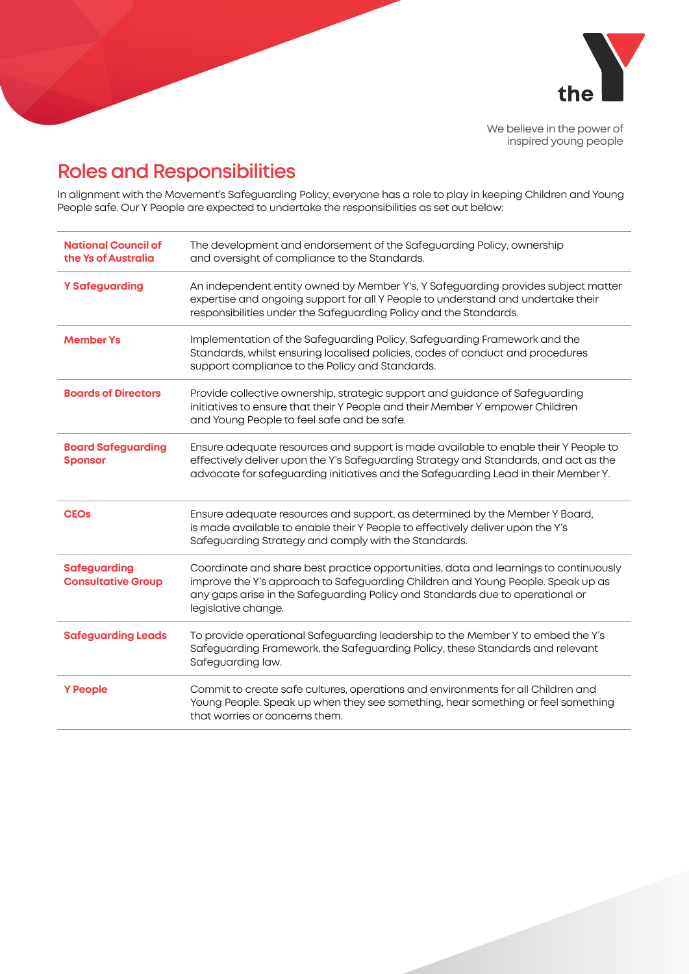

## **Roles and Responsibilities**

In alignment with the Movement's Safeguarding Policy, everyone has a role to play in keeping Children and Young People safe. Our Y People are expected to undertake the responsibilities as set out below:

| <b>National Council of</b><br>the Ys of Australia | The development and endorsement of the Safeguarding Policy, ownership<br>and oversight of compliance to the Standards.                                                                                                                                                          |
|---------------------------------------------------|---------------------------------------------------------------------------------------------------------------------------------------------------------------------------------------------------------------------------------------------------------------------------------|
| <b>Y Safeguarding</b>                             | An independent entity owned by Member Y's, Y Safeguarding provides subject matter<br>expertise and ongoing support for all Y People to understand and undertake their<br>responsibilities under the Safeguarding Policy and the Standards.                                      |
| <b>Member Ys</b>                                  | Implementation of the Safeguarding Policy, Safeguarding Framework and the<br>Standards, whilst ensuring localised policies, codes of conduct and procedures<br>support compliance to the Policy and Standards.                                                                  |
| <b>Boards of Directors</b>                        | Provide collective ownership, strategic support and guidance of Safeguarding<br>initiatives to ensure that their Y People and their Member Y empower Children<br>and Young People to feel safe and be safe.                                                                     |
| <b>Board Safeguarding</b><br><b>Sponsor</b>       | Ensure adequate resources and support is made available to enable their Y People to<br>effectively deliver upon the Y's Safeguarding Strategy and Standards, and act as the<br>advocate for safeguarding initiatives and the Safeguarding Lead in their Member Y.               |
| <b>CEO<sub>s</sub></b>                            | Ensure adequate resources and support, as determined by the Member Y Board,<br>is made available to enable their Y People to effectively deliver upon the Y's<br>Safeguarding Strategy and comply with the Standards.                                                           |
| <b>Safeguarding</b><br><b>Consultative Group</b>  | Coordinate and share best practice opportunities, data and learnings to continuously<br>improve the Y's approach to Safeguarding Children and Young People. Speak up as<br>any gaps arise in the Safeguarding Policy and Standards due to operational or<br>legislative change. |
| <b>Safeguarding Leads</b>                         | To provide operational Safeguarding leadership to the Member Y to embed the Y's<br>Safeguarding Framework, the Safeguarding Policy, these Standards and relevant<br>Safeguarding law.                                                                                           |
| <b>Y People</b>                                   | Commit to create safe cultures, operations and environments for all Children and<br>Young People. Speak up when they see something, hear something or feel something<br>that worries or concerns them.                                                                          |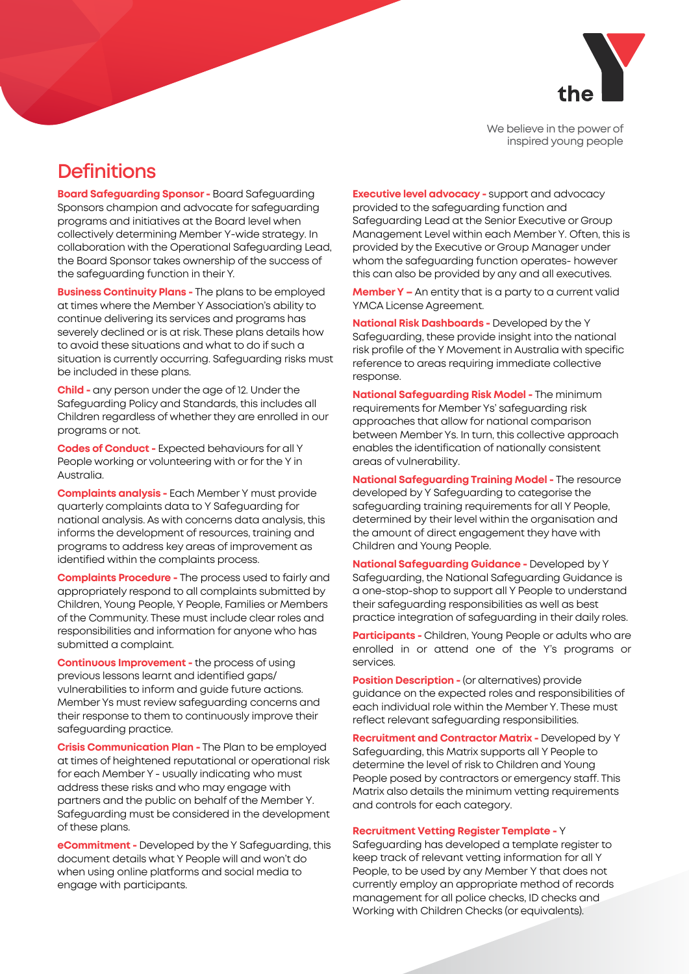

## **Definitions**

**Board Safeguarding Sponsor -** Board Safeguarding Sponsors champion and advocate for safeguarding programs and initiatives at the Board level when collectively determining Member Y-wide strategy. In collaboration with the Operational Safeguarding Lead, the Board Sponsor takes ownership of the success of the safeguarding function in their Y.

**Business Continuity Plans -** The plans to be employed at times where the MemberYAssociation's ability to continue delivering its services and programs has severely declined or is at risk. These plans details how to avoid these situations and what to do if such a situation is currently occurring. Safeguarding risks must be included in these plans.

**Child -** any person under the age of 12. Under the Safeguarding Policy and Standards, this includes all Children regardless of whether they are enrolled in our programs or not.

**Codes of Conduct -** Expected behaviours for all Y People working or volunteering with or for the Y in Australia.

**Complaints analysis - Each Member Y must provide** quarterly complaints data to Y Safeguarding for national analysis. As with concerns data analysis, this informs the development of resources, training and programs to address key areas of improvement as identified within the complaints process.

**Complaints Procedure -** The process used to fairly and appropriately respond to all complaints submitted by Children, Young People, Y People, Families or Members ofthe Community. These must include clear roles and responsibilities and information for anyone who has submitted a complaint.

**Continuous Improvement - the process of using** previous lessons learnt and identified gaps/ vulnerabilities to inform and guide future actions. Member Ys must review safeguarding concerns and their response to them to continuously improve their safeguarding practice.

**Crisis Communication Plan -** The Plan to be employed at times of heightened reputational or operational risk for each MemberY- usually indicating who must address these risks and who may engage with partners and the public on behalf of the Member Y. Safeguarding must be considered in the development of these plans.

**eCommitment -** Developed by the Y Safeguarding, this document details what Y People will and won't do when using online platforms and social media to engage with participants.

**Executive level advocacy -** support and advocacy provided to the safeguarding function and Safeguarding Lead at the Senior Executive or Group Management Level within each Member Y. Often, this is provided by the Executive or Group Manager under whom the safeguarding function operates- however this can also be provided by any and all executives.

**MemberY –** An entity that is a party to a current valid YMCA License Agreement.

**National Risk Dashboards -** Developed by the Y Safeguarding, these provide insight into the national risk profile of the Y Movement in Australia with specific reference to areas requiring immediate collective response.

**National Safeguarding Risk Model -** The minimum requirements for Member Ys' safeguarding risk approaches that allow for national comparison between MemberYs. In turn, this collective approach enables the identification of nationally consistent areas of vulnerability.

**National Safeguarding Training Model -** The resource developed by Y Safeguarding to categorise the safeguarding training requirements for all Y People, determined by their level within the organisation and the amount of direct engagement they have with Children and Young People.

**National Safeguarding Guidance -** Developed by Y Safeguarding, the National Safeguarding Guidance is a one-stop-shop to support all Y People to understand their safeguarding responsibilities as well as best practice integration of safeguarding in their daily roles.

**Participants -** Children, Young People or adults who are enrolled in or attend one of the Y's programs or services.

**Position Description -** (or alternatives) provide guidance on the expected roles and responsibilities of each individual role within the Member Y. These must reflect relevant safeguarding responsibilities.

**Recruitment and Contractor Matrix -** Developed by Y Safeguarding, this Matrix supports all Y People to determine the level of risk to Children and Young People posed by contractors or emergency staff. This Matrix also details the minimum vetting requirements and controls for each category.

## **Recruitment Vetting Register Template -** Y

Safeguarding has developed a template register to keep track of relevant vetting information for all Y People, to be used by any Member Y that does not currently employ an appropriate method of records management for all police checks, ID checks and Working with Children Checks (or equivalents).